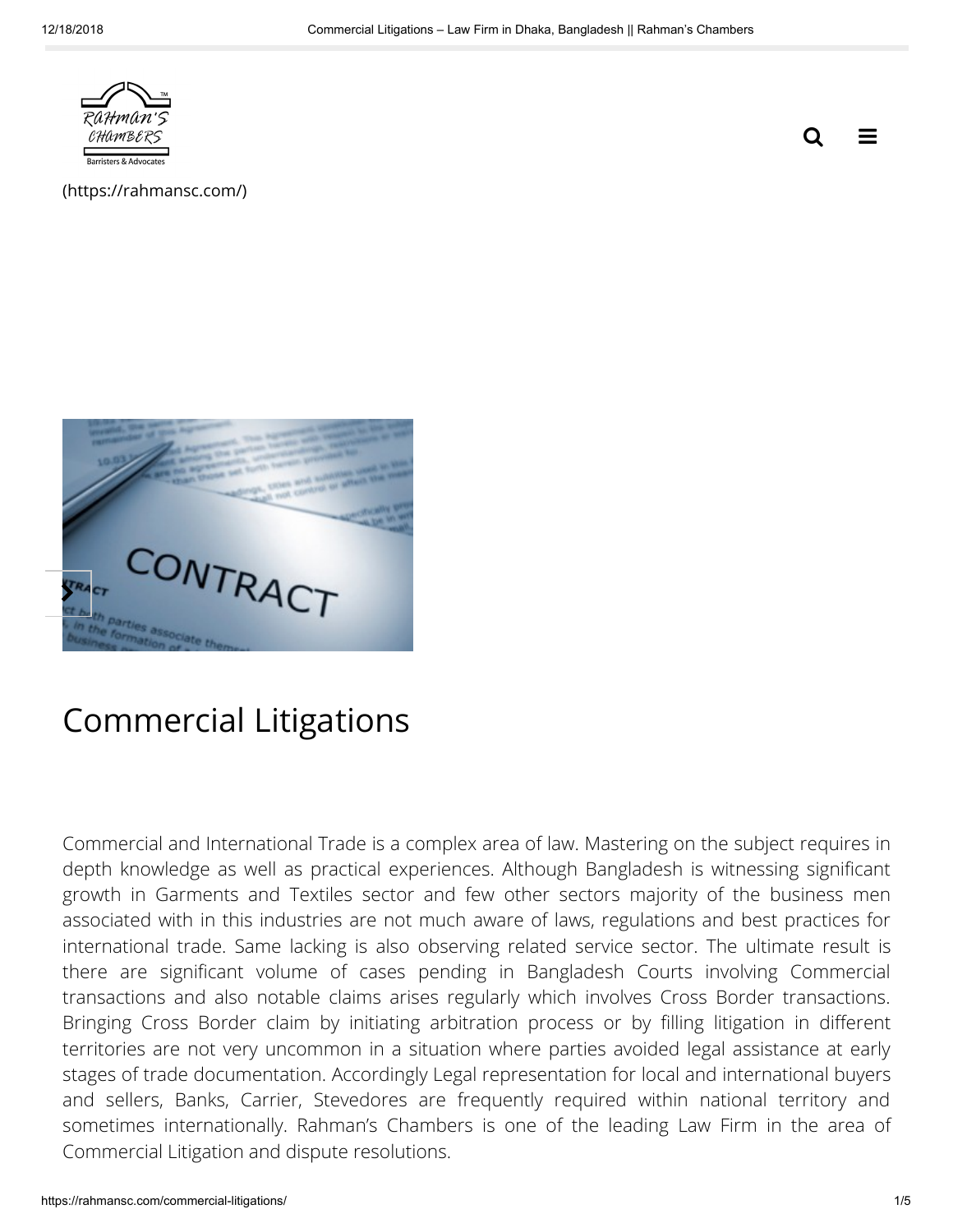

 $\equiv$ Q

[\(https://rahmansc.com/\)](https://rahmansc.com/)



# Commercial Litigations

Commercial and International Trade is a complex area of law. Mastering on the subject requires in depth knowledge as well as practical experiences. Although Bangladesh is witnessing signicant growth in Garments and Textiles sector and few other sectors majority of the business men associated with in this industries are not much aware of laws, regulations and best practices for international trade. Same lacking is also observing related service sector. The ultimate result is there are signicant volume of cases pending in Bangladesh Courts involving Commercial transactions and also notable claims arises regularly which involves Cross Border transactions. Bringing Cross Border claim by initiating arbitration process or by filling litigation in different territories are not very uncommon in a situation where parties avoided legal assistance at early stages of trade documentation. Accordingly Legal representation for local and international buyers and sellers, Banks, Carrier, Stevedores are frequently required within national territory and sometimes internationally. Rahman's Chambers is one of the leading Law Firm in the area of Commercial Litigation and dispute resolutions.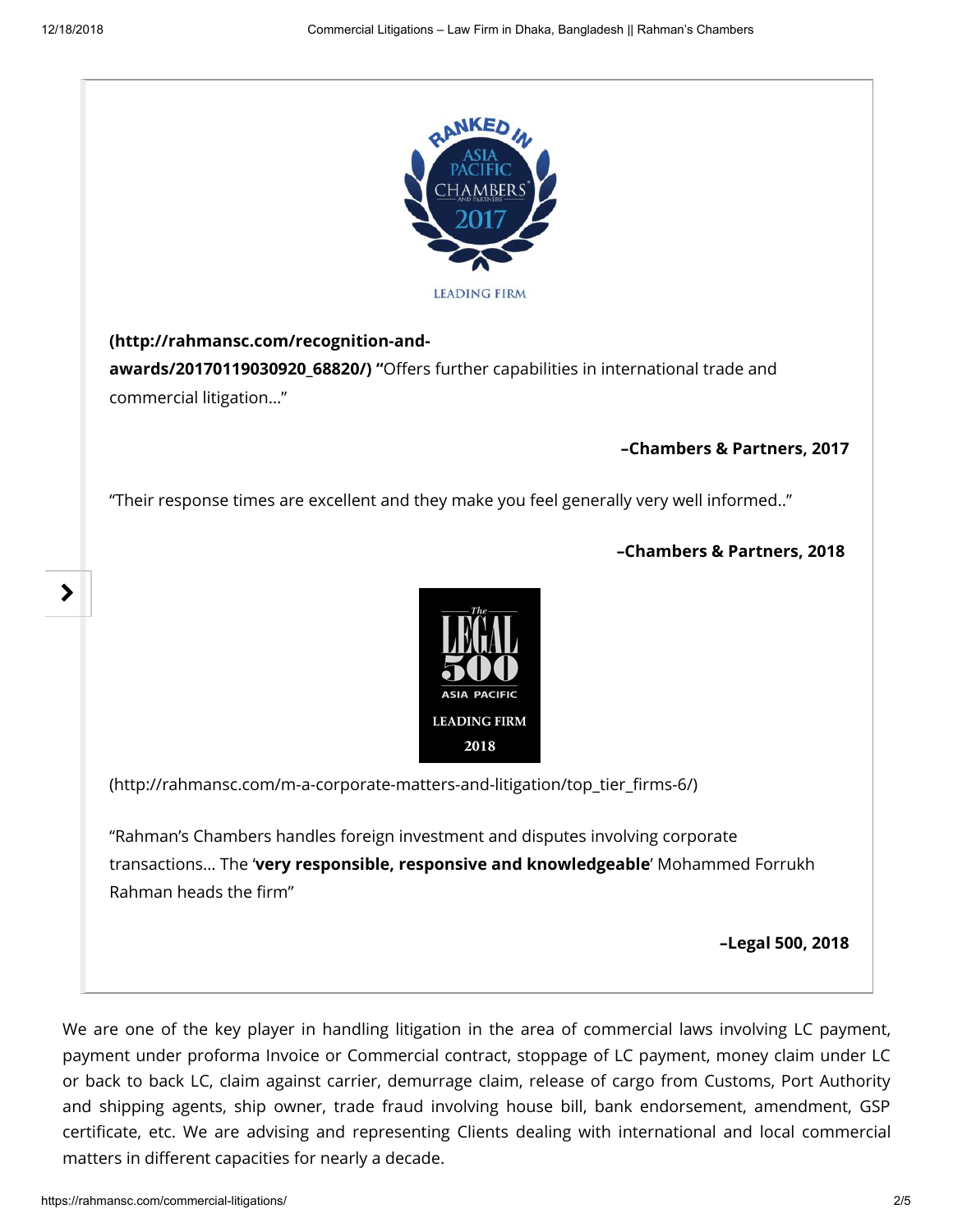⋗



#### (http://rahmansc.com/recognition-and-

awards/20170119030920\_68820/) "Offers further capabilities in international trade and commercial litigation…"

#### –Chambers & Partners, 2017

"Their response times are excellent and they make you feel generally very well informed.."

#### –Chambers & Partners, 2018



[\(http://rahmansc.com/m-a-corporate-matters-and-litigation/top\\_tier\\_rms-6/\)](http://rahmansc.com/m-a-corporate-matters-and-litigation/top_tier_firms-6/)

"Rahman's Chambers handles foreign investment and disputes involving corporate transactions… The 'very responsible, responsive and knowledgeable' Mohammed Forrukh Rahman heads the firm"

–Legal 500, 2018

We are one of the key player in handling litigation in the area of commercial laws involving LC payment, payment under proforma Invoice or Commercial contract, stoppage of LC payment, money claim under LC or back to back LC, claim against carrier, demurrage claim, release of cargo from Customs, Port Authority and shipping agents, ship owner, trade fraud involving house bill, bank endorsement, amendment, GSP certificate, etc. We are advising and representing Clients dealing with international and local commercial matters in different capacities for nearly a decade.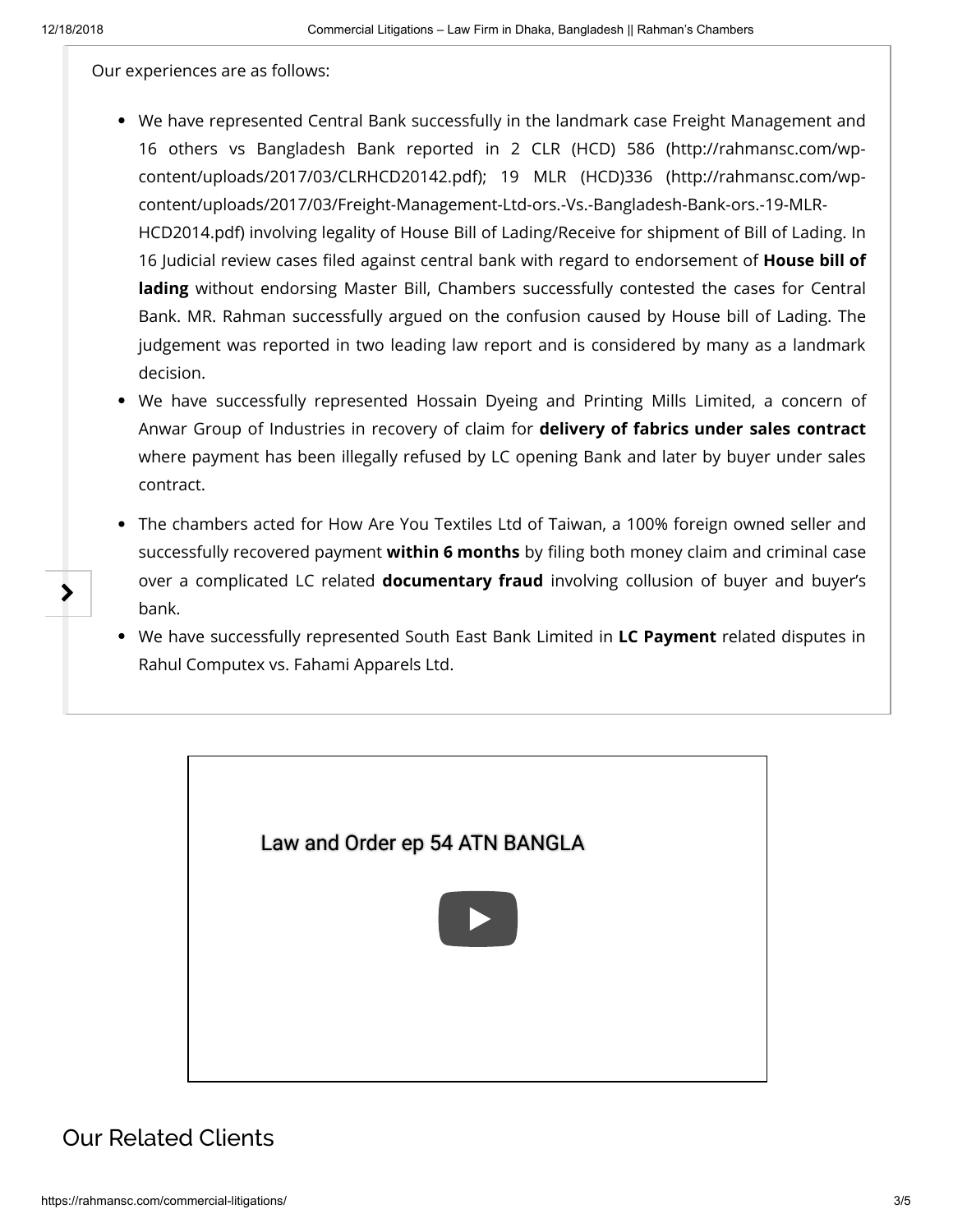≯

Our experiences are as follows:

- We have represented Central Bank successfully in the landmark case Freight Management and 16 others [vs Bangladesh Bank reported in 2 CLR \(HCD\) 586](http://rahmansc.com/wp-content/uploads/2017/03/CLRHCD20142.pdf) (http://rahmansc.com/wpcontent/uploads/2017/03/CLRHCD20142.pdf); 19 MLR (HCD)336 (http://rahmansc.com/wp[content/uploads/2017/03/Freight-Management-Ltd-ors.-Vs.-Bangladesh-Bank-ors.-19-MLR-](http://rahmansc.com/wp-content/uploads/2017/03/Freight-Management-Ltd-ors.-Vs.-Bangladesh-Bank-ors.-19-MLR-HCD2014.pdf)HCD2014.pdf) involving legality of House Bill of Lading/Receive for shipment of Bill of Lading. In 16 Judicial review cases filed against central bank with regard to endorsement of **House bill of** lading without endorsing Master Bill, Chambers successfully contested the cases for Central Bank. MR. Rahman successfully argued on the confusion caused by House bill of Lading. The judgement was reported in two leading law report and is considered by many as a landmark decision.
- We have successfully represented Hossain Dyeing and Printing Mills Limited, a concern of Anwar Group of Industries in recovery of claim for delivery of fabrics under sales contract where payment has been illegally refused by LC opening Bank and later by buyer under sales contract.
- The chambers acted for How Are You Textiles Ltd of Taiwan, a 100% foreign owned seller and successfully recovered payment **within 6 months** by filing both money claim and criminal case over a complicated LC related documentary fraud involving collusion of buyer and buyer's bank.
- We have successfully represented South East Bank Limited in LC Payment related disputes in Rahul Computex vs. Fahami Apparels Ltd.



## Our Related Clients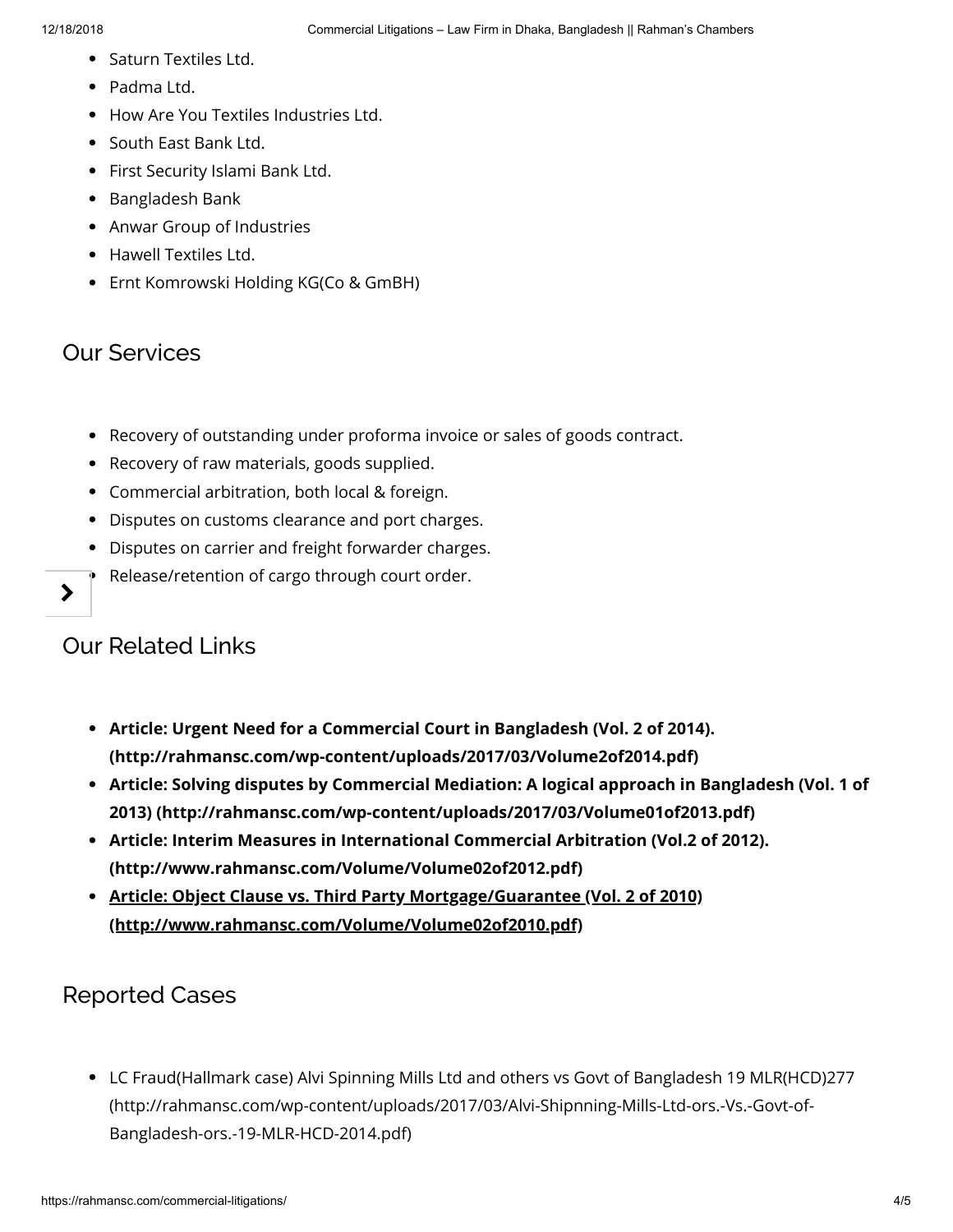- Saturn Textiles Ltd.
- Padma Ltd.
- How Are You Textiles Industries Ltd.
- South East Bank Ltd.
- First Security Islami Bank Ltd.
- Bangladesh Bank
- Anwar Group of Industries
- Hawell Textiles Ltd.
- Ernt Komrowski Holding KG(Co & GmBH)

### Our Services

- Recovery of outstanding under proforma invoice or sales of goods contract.
- Recovery of raw materials, goods supplied.
- Commercial arbitration, both local & foreign.
- Disputes on customs clearance and port charges.
- Disputes on carrier and freight forwarder charges.
- Release/retention of cargo through court order.

### Our Related Links

ゝ

- Article: Urgent Need for a Commercial Court in Bangladesh (Vol. 2 of 2014). (http://rahmansc.com/wp-content/uploads/2017/03/Volume2of2014.pdf)
- [Article: Solving disputes by Commercial Mediation: A logical approach in Bangladesh \(Vol. 1 of](http://rahmansc.com/wp-content/uploads/2017/03/Volume01of2013.pdf) 2013) (http://rahmansc.com/wp-content/uploads/2017/03/Volume01of2013.pdf)
- [Article: Interim Measures in International Commercial Arbitration \(Vol.2 of 2012\).](http://www.rahmansc.com/Volume/Volume02of2012.pdf) (http://www.rahmansc.com/Volume/Volume02of2012.pdf)
- [Article: Object Clause vs. Third Party Mortgage/Guarantee \(Vol. 2 of 2010\)](http://www.rahmansc.com/Volume/Volume02of2010.pdf) (http://www.rahmansc.com/Volume/Volume02of2010.pdf)

### Reported Cases

[LC Fraud\(Hallmark case\) Alvi Spinning Mills Ltd and others vs Govt of Bangladesh 19 MLR\(HCD\)277](http://rahmansc.com/wp-content/uploads/2017/03/Alvi-Shipnning-Mills-Ltd-ors.-Vs.-Govt-of-Bangladesh-ors.-19-MLR-HCD-2014.pdf) (http://rahmansc.com/wp-content/uploads/2017/03/Alvi-Shipnning-Mills-Ltd-ors.-Vs.-Govt-of-Bangladesh-ors.-19-MLR-HCD-2014.pdf)